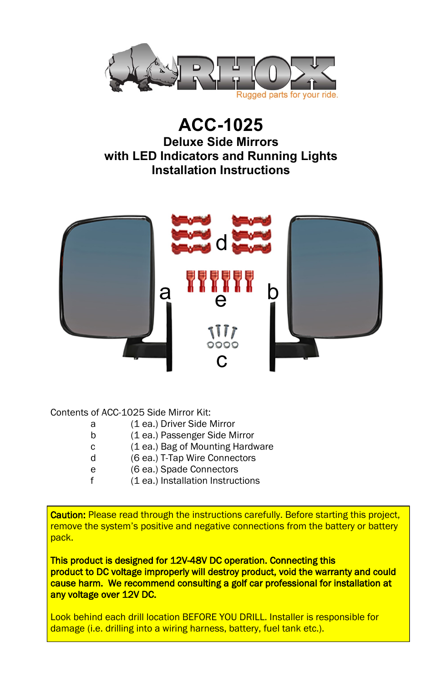

## **ACC-1025 Deluxe Side Mirrors with LED Indicators and Running Lights Installation Instructions**



Contents of ACC-1025 Side Mirror Kit:

- a (1 ea.) Driver Side Mirror
- b (1 ea.) Passenger Side Mirror
- c (1 ea.) Bag of Mounting Hardware
- d (6 ea.) T-Tap Wire Connectors
- e (6 ea.) Spade Connectors
- f (1 ea.) Installation Instructions

Caution: Please read through the instructions carefully. Before starting this project, remove the system's positive and negative connections from the battery or battery pack.

This product is designed for 12V-48V DC operation. Connecting this product to DC voltage improperly will destroy product, void the warranty and could cause harm. We recommend consulting a golf car professional for installation at any voltage over 12V DC.

Look behind each drill location BEFORE YOU DRILL. Installer is responsible for damage (i.e. drilling into a wiring harness, battery, fuel tank etc.).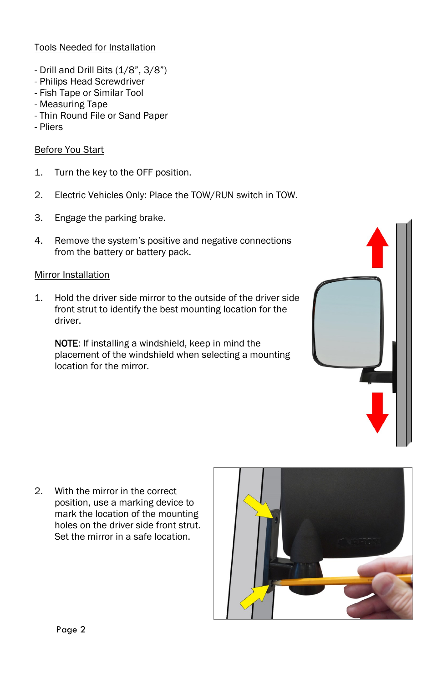## Tools Needed for Installation

- Drill and Drill Bits (1/8", 3/8")
- Philips Head Screwdriver
- Fish Tape or Similar Tool
- Measuring Tape
- Thin Round File or Sand Paper
- Pliers

## Before You Start

- 1. Turn the key to the OFF position.
- 2. Electric Vehicles Only: Place the TOW/RUN switch in TOW.
- 3. Engage the parking brake.
- 4. Remove the system's positive and negative connections from the battery or battery pack.

## Mirror Installation

1. Hold the driver side mirror to the outside of the driver side front strut to identify the best mounting location for the driver.

NOTE: If installing a windshield, keep in mind the placement of the windshield when selecting a mounting location for the mirror.



2. With the mirror in the correct position, use a marking device to mark the location of the mounting holes on the driver side front strut. Set the mirror in a safe location.

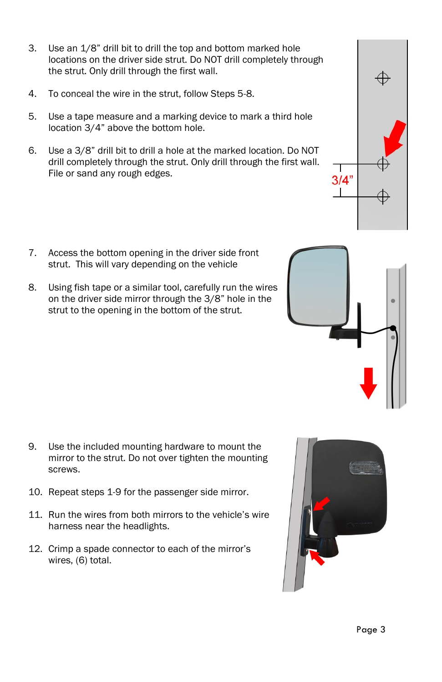- 3. Use an 1/8" drill bit to drill the top and bottom marked hole locations on the driver side strut. Do NOT drill completely through the strut. Only drill through the first wall.
- 4. To conceal the wire in the strut, follow Steps 5-8.
- 5. Use a tape measure and a marking device to mark a third hole location 3/4" above the bottom hole.
- 6. Use a 3/8" drill bit to drill a hole at the marked location. Do NOT drill completely through the strut. Only drill through the first wall. File or sand any rough edges.
- 7. Access the bottom opening in the driver side front strut. This will vary depending on the vehicle
- 8. Using fish tape or a similar tool, carefully run the wires on the driver side mirror through the 3/8" hole in the strut to the opening in the bottom of the strut.

- 9. Use the included mounting hardware to mount the mirror to the strut. Do not over tighten the mounting screws.
- 10. Repeat steps 1-9 for the passenger side mirror.
- 11. Run the wires from both mirrors to the vehicle's wire harness near the headlights.
- 12. Crimp a spade connector to each of the mirror's wires, (6) total.